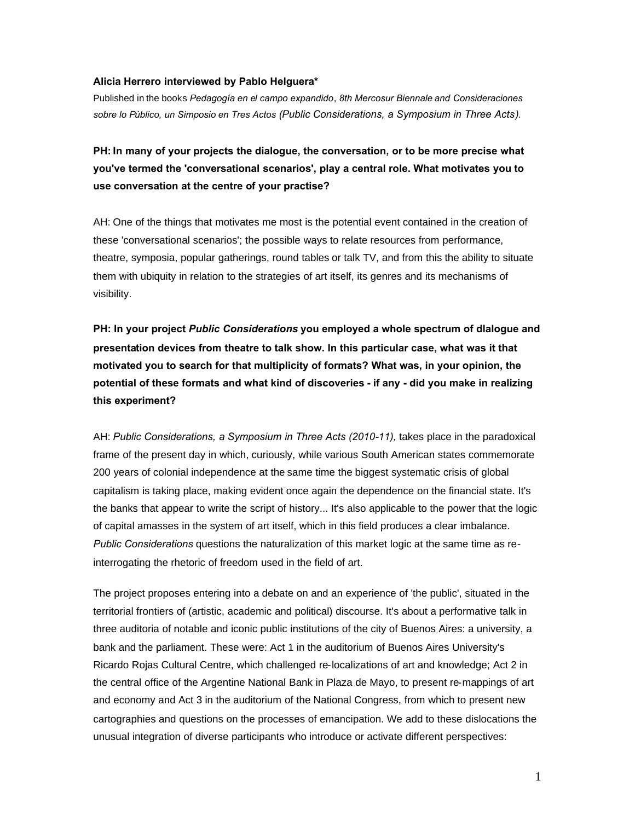## **Alicia Herrero interviewed by Pablo Helguera\***

Published in the books *Pedagogía en el campo expandido*, *8th Mercosur Biennale and Consideraciones sobre lo Público, un Simposio en Tres Actos (Public Considerations, a Symposium in Three Acts).*

**PH: In many of your projects the dialogue, the conversation, or to be more precise what you've termed the 'conversational scenarios', play a central role. What motivates you to use conversation at the centre of your practise?**

AH: One of the things that motivates me most is the potential event contained in the creation of these 'conversational scenarios'; the possible ways to relate resources from performance, theatre, symposia, popular gatherings, round tables or talk TV, and from this the ability to situate them with ubiquity in relation to the strategies of art itself, its genres and its mechanisms of visibility.

**PH: In your project** *Public Considerations* **you employed a whole spectrum of dlalogue and presentation devices from theatre to talk show. In this particular case, what was it that motivated you to search for that multiplicity of formats? What was, in your opinion, the potential of these formats and what kind of discoveries - if any - did you make in realizing this experiment?**

AH: *Public Considerations, a Symposium in Three Acts (2010-11),* takes place in the paradoxical frame of the present day in which, curiously, while various South American states commemorate 200 years of colonial independence at the same time the biggest systematic crisis of global capitalism is taking place, making evident once again the dependence on the financial state. It's the banks that appear to write the script of history... It's also applicable to the power that the logic of capital amasses in the system of art itself, which in this field produces a clear imbalance. *Public Considerations* questions the naturalization of this market logic at the same time as reinterrogating the rhetoric of freedom used in the field of art.

The project proposes entering into a debate on and an experience of 'the public', situated in the territorial frontiers of (artistic, academic and political) discourse. It's about a performative talk in three auditoria of notable and iconic public institutions of the city of Buenos Aires: a university, a bank and the parliament. These were: Act 1 in the auditorium of Buenos Aires University's Ricardo Rojas Cultural Centre, which challenged re-localizations of art and knowledge; Act 2 in the central office of the Argentine National Bank in Plaza de Mayo, to present re-mappings of art and economy and Act 3 in the auditorium of the National Congress, from which to present new cartographies and questions on the processes of emancipation. We add to these dislocations the unusual integration of diverse participants who introduce or activate different perspectives:

1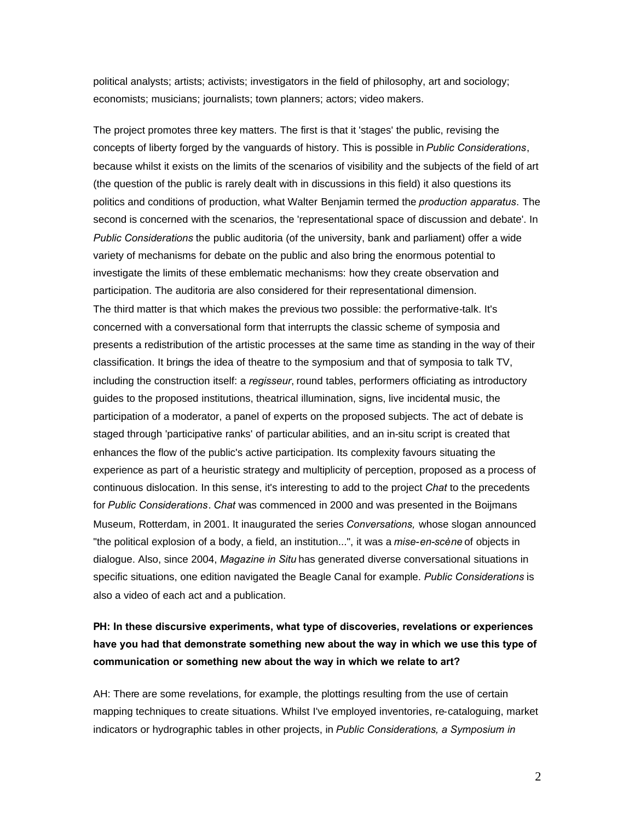political analysts; artists; activists; investigators in the field of philosophy, art and sociology; economists; musicians; journalists; town planners; actors; video makers.

The project promotes three key matters. The first is that it 'stages' the public, revising the concepts of liberty forged by the vanguards of history. This is possible in *Public Considerations*, because whilst it exists on the limits of the scenarios of visibility and the subjects of the field of art (the question of the public is rarely dealt with in discussions in this field) it also questions its politics and conditions of production, what Walter Benjamin termed the *production apparatus*. The second is concerned with the scenarios, the 'representational space of discussion and debate'. In *Public Considerations* the public auditoria (of the university, bank and parliament) offer a wide variety of mechanisms for debate on the public and also bring the enormous potential to investigate the limits of these emblematic mechanisms: how they create observation and participation. The auditoria are also considered for their representational dimension. The third matter is that which makes the previous two possible: the performative-talk. It's concerned with a conversational form that interrupts the classic scheme of symposia and presents a redistribution of the artistic processes at the same time as standing in the way of their classification. It brings the idea of theatre to the symposium and that of symposia to talk TV, including the construction itself: a *regisseur*, round tables, performers officiating as introductory guides to the proposed institutions, theatrical illumination, signs, live incidental music, the participation of a moderator, a panel of experts on the proposed subjects. The act of debate is staged through 'participative ranks' of particular abilities, and an in-situ script is created that enhances the flow of the public's active participation. Its complexity favours situating the experience as part of a heuristic strategy and multiplicity of perception, proposed as a process of continuous dislocation. In this sense, it's interesting to add to the project *Chat* to the precedents for *Public Considerations*. *Chat* was commenced in 2000 and was presented in the Boijmans Museum, Rotterdam, in 2001. It inaugurated the series *Conversations,* whose slogan announced "the political explosion of a body, a field, an institution...", it was a *mise-en-scène* of objects in dialogue. Also, since 2004, *Magazine in Situ* has generated diverse conversational situations in specific situations, one edition navigated the Beagle Canal for example. *Public Considerations* is also a video of each act and a publication.

## **PH: In these discursive experiments, what type of discoveries, revelations or experiences have you had that demonstrate something new about the way in which we use this type of communication or something new about the way in which we relate to art?**

AH: There are some revelations, for example, the plottings resulting from the use of certain mapping techniques to create situations. Whilst I've employed inventories, re-cataloguing, market indicators or hydrographic tables in other projects, in *Public Considerations, a Symposium in*

2